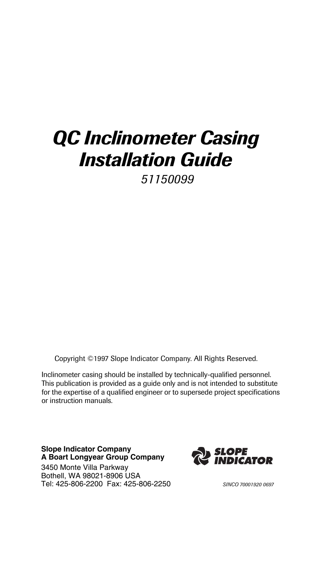# *QC Inclinometer Casing Installation Guide*

*51150099*

Copyright ©1997 Slope Indicator Company. All Rights Reserved.

Inclinometer casing should be installed by technically-qualified personnel. This publication is provided as a guide only and is not intended to substitute for the expertise of a qualified engineer or to supersede project specifications or instruction manuals.

**Slope Indicator Company A Boart Longyear Group Company**

3450 Monte Villa Parkway Bothell, WA 98021-8906 USA Tel: 425-806-2200 Fax: 425-806-2250 *SINCO 70001920 0697*

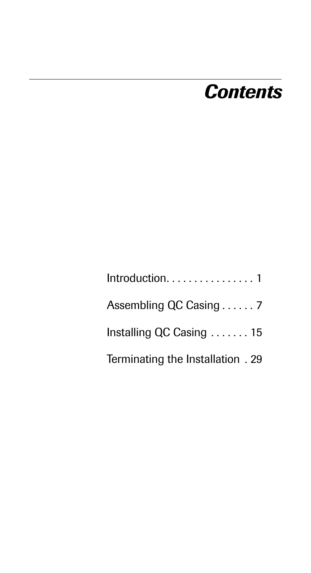# *Contents*

| Assembling QC Casing 7            |
|-----------------------------------|
| Installing QC Casing  15          |
| Terminating the Installation . 29 |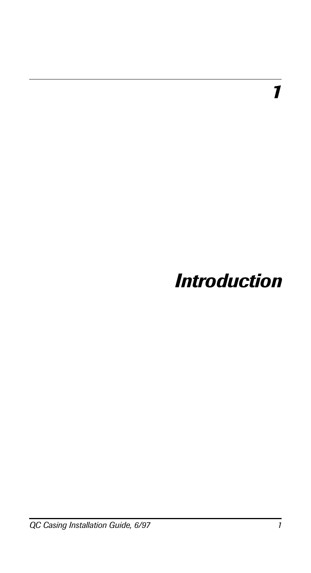*1*

# *Introduction*

*QC Casing Installation Guide, 6/97 1*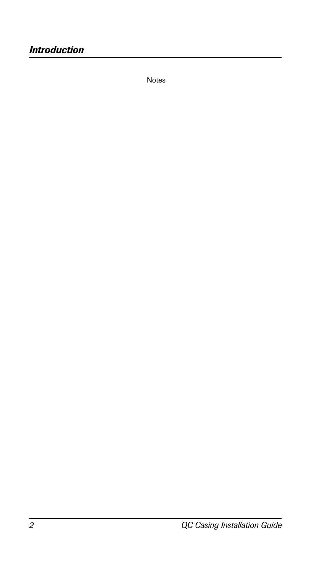Notes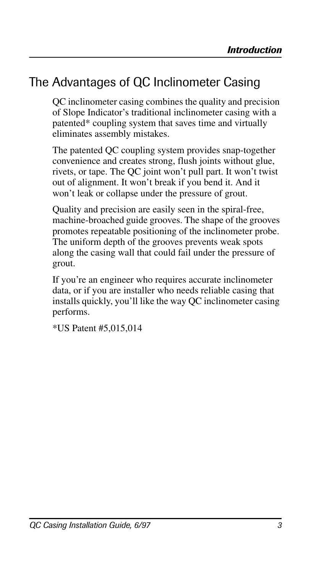## The Advantages of QC Inclinometer Casing

QC inclinometer casing combines the quality and precision of Slope Indicator's traditional inclinometer casing with a patented\* coupling system that saves time and virtually eliminates assembly mistakes.

The patented QC coupling system provides snap-together convenience and creates strong, flush joints without glue, rivets, or tape. The QC joint won't pull part. It won't twist out of alignment. It won't break if you bend it. And it won't leak or collapse under the pressure of grout.

Quality and precision are easily seen in the spiral-free, machine-broached guide grooves. The shape of the grooves promotes repeatable positioning of the inclinometer probe. The uniform depth of the grooves prevents weak spots along the casing wall that could fail under the pressure of grout.

If you're an engineer who requires accurate inclinometer data, or if you are installer who needs reliable casing that installs quickly, you'll like the way QC inclinometer casing performs.

\*US Patent #5,015,014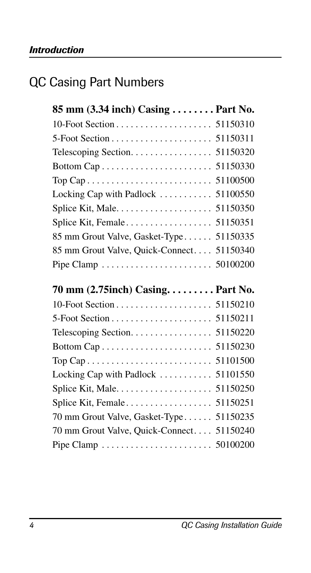## QC Casing Part Numbers

| 85 mm (3.34 inch) Casing  Part No.         |  |
|--------------------------------------------|--|
|                                            |  |
|                                            |  |
| Telescoping Section. 51150320              |  |
|                                            |  |
|                                            |  |
| Locking Cap with Padlock  51100550         |  |
|                                            |  |
|                                            |  |
| 85 mm Grout Valve, Gasket-Type 51150335    |  |
| 85 mm Grout Valve, Quick-Connect. 51150340 |  |
|                                            |  |
|                                            |  |
| 70 mm (2.75inch) Casing. Part No.          |  |
|                                            |  |
|                                            |  |
|                                            |  |
|                                            |  |
|                                            |  |
| Locking Cap with Padlock  51101550         |  |
|                                            |  |
|                                            |  |
| 70 mm Grout Valve, Gasket-Type 51150235    |  |
| 70 mm Grout Valve, Quick-Connect. 51150240 |  |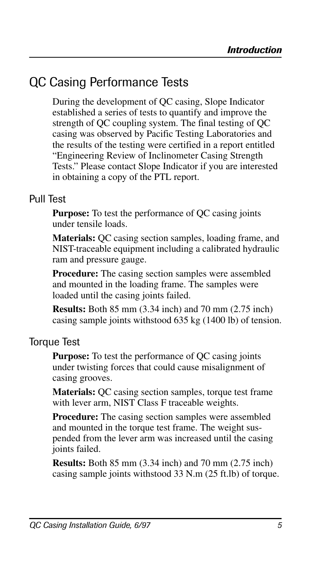## QC Casing Performance Tests

During the development of QC casing, Slope Indicator established a series of tests to quantify and improve the strength of QC coupling system. The final testing of QC casing was observed by Pacific Testing Laboratories and the results of the testing were certified in a report entitled "Engineering Review of Inclinometer Casing Strength Tests." Please contact Slope Indicator if you are interested in obtaining a copy of the PTL report.

## Pull Test

**Purpose:** To test the performance of QC casing joints under tensile loads.

**Materials:** QC casing section samples, loading frame, and NIST-traceable equipment including a calibrated hydraulic ram and pressure gauge.

**Procedure:** The casing section samples were assembled and mounted in the loading frame. The samples were loaded until the casing joints failed.

**Results:** Both 85 mm (3.34 inch) and 70 mm (2.75 inch) casing sample joints withstood 635 kg (1400 lb) of tension.

### Torque Test

**Purpose:** To test the performance of QC casing joints under twisting forces that could cause misalignment of casing grooves.

**Materials:** QC casing section samples, torque test frame with lever arm, NIST Class F traceable weights.

**Procedure:** The casing section samples were assembled and mounted in the torque test frame. The weight suspended from the lever arm was increased until the casing joints failed.

**Results:** Both 85 mm (3.34 inch) and 70 mm (2.75 inch) casing sample joints withstood 33 N.m (25 ft.lb) of torque.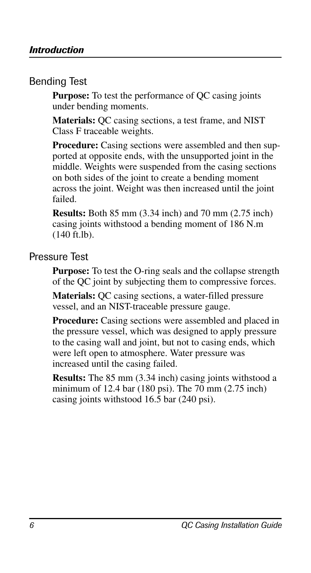## Bending Test

**Purpose:** To test the performance of QC casing joints under bending moments.

**Materials:** QC casing sections, a test frame, and NIST Class F traceable weights.

**Procedure:** Casing sections were assembled and then supported at opposite ends, with the unsupported joint in the middle. Weights were suspended from the casing sections on both sides of the joint to create a bending moment across the joint. Weight was then increased until the joint failed.

**Results:** Both 85 mm (3.34 inch) and 70 mm (2.75 inch) casing joints withstood a bending moment of 186 N.m (140 ft.lb).

#### Pressure Test

**Purpose:** To test the O-ring seals and the collapse strength of the QC joint by subjecting them to compressive forces.

**Materials:** QC casing sections, a water-filled pressure vessel, and an NIST-traceable pressure gauge.

Procedure: Casing sections were assembled and placed in the pressure vessel, which was designed to apply pressure to the casing wall and joint, but not to casing ends, which were left open to atmosphere. Water pressure was increased until the casing failed.

**Results:** The 85 mm (3.34 inch) casing joints withstood a minimum of 12.4 bar (180 psi). The 70 mm (2.75 inch) casing joints withstood 16.5 bar (240 psi).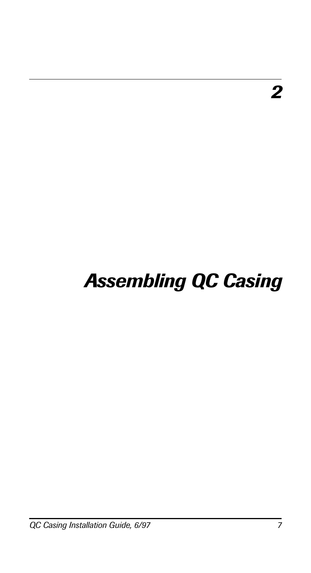# *Assembling QC Casing*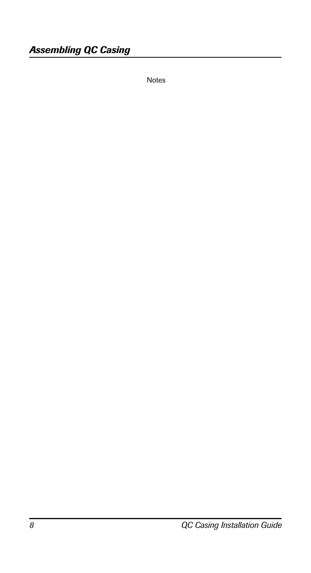Notes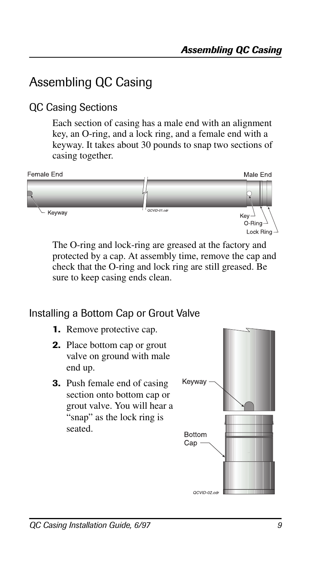## Assembling QC Casing

## QC Casing Sections

Each section of casing has a male end with an alignment key, an O-ring, and a lock ring, and a female end with a keyway. It takes about 30 pounds to snap two sections of casing together.



The O-ring and lock-ring are greased at the factory and protected by a cap. At assembly time, remove the cap and check that the O-ring and lock ring are still greased. Be sure to keep casing ends clean.

## Installing a Bottom Cap or Grout Valve

- **1.** Remove protective cap.
- **2.** Place bottom cap or grout valve on ground with male end up.
- **3.** Push female end of casing section onto bottom cap or grout valve. You will hear a "snap" as the lock ring is seated.

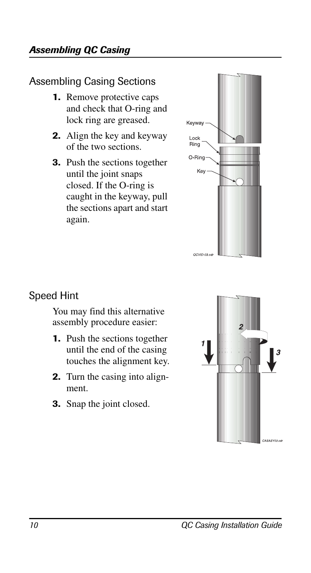## Assembling Casing Sections

- **1.** Remove protective caps and check that O-ring and lock ring are greased.
- **2.** Align the key and keyway of the two sections.
- **3.** Push the sections together until the joint snaps closed. If the O-ring is caught in the keyway, pull the sections apart and start again.



## Speed Hint

You may find this alternative assembly procedure easier:

- **1.** Push the sections together until the end of the casing touches the alignment key.
- **2.** Turn the casing into alignment.
- **3.** Snap the joint closed.

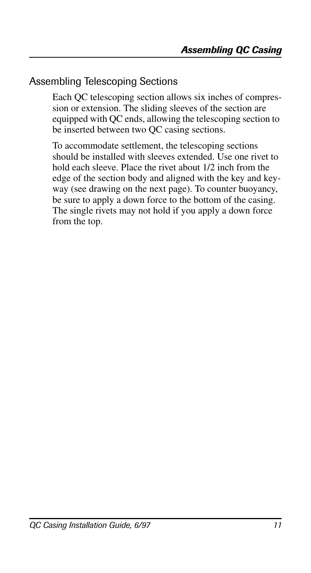## Assembling Telescoping Sections

Each QC telescoping section allows six inches of compression or extension. The sliding sleeves of the section are equipped with QC ends, allowing the telescoping section to be inserted between two QC casing sections.

To accommodate settlement, the telescoping sections should be installed with sleeves extended. Use one rivet to hold each sleeve. Place the rivet about 1/2 inch from the edge of the section body and aligned with the key and keyway (see drawing on the next page). To counter buoyancy, be sure to apply a down force to the bottom of the casing. The single rivets may not hold if you apply a down force from the top.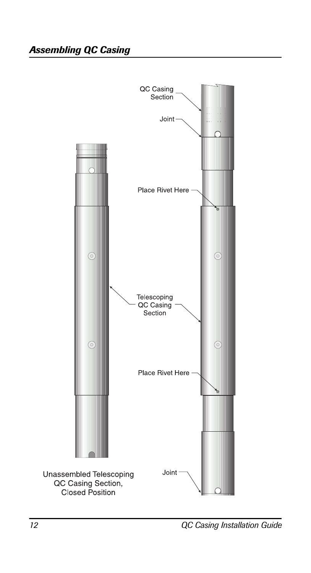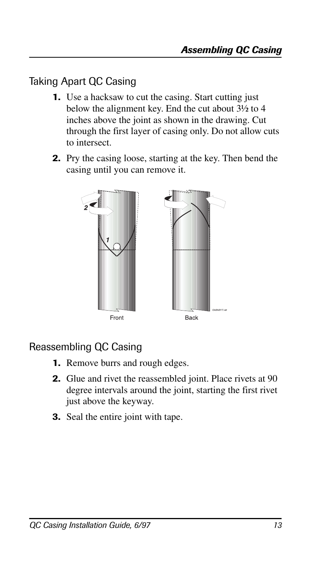## Taking Apart QC Casing

- **1.** Use a hacksaw to cut the casing. Start cutting just below the alignment key. End the cut about 3½ to 4 inches above the joint as shown in the drawing. Cut through the first layer of casing only. Do not allow cuts to intersect.
- **2.** Pry the casing loose, starting at the key. Then bend the casing until you can remove it.



## Reassembling QC Casing

- **1.** Remove burrs and rough edges.
- **2.** Glue and rivet the reassembled joint. Place rivets at 90 degree intervals around the joint, starting the first rivet just above the keyway.
- **3.** Seal the entire joint with tape.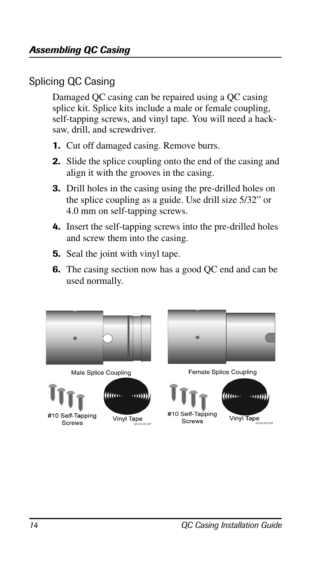## Splicing QC Casing

Damaged QC casing can be repaired using a QC casing splice kit. Splice kits include a male or female coupling, self-tapping screws, and vinyl tape. You will need a hacksaw, drill, and screwdriver.

- **1.** Cut off damaged casing. Remove burrs.
- **2.** Slide the splice coupling onto the end of the casing and align it with the grooves in the casing.
- **3.** Drill holes in the casing using the pre-drilled holes on the splice coupling as a guide. Use drill size 5/32" or 4.0 mm on self-tapping screws.
- **4.** Insert the self-tapping screws into the pre-drilled holes and screw them into the casing.
- **5.** Seal the joint with vinyl tape.
- **6.** The casing section now has a good QC end and can be used normally.





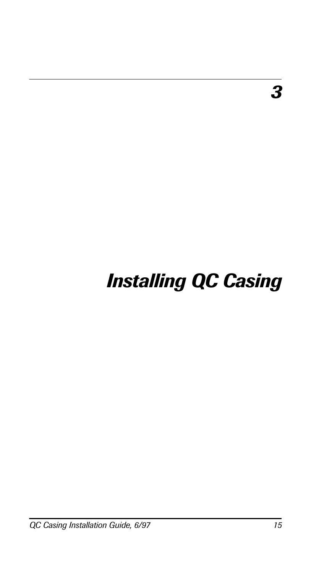# *Installing QC Casing*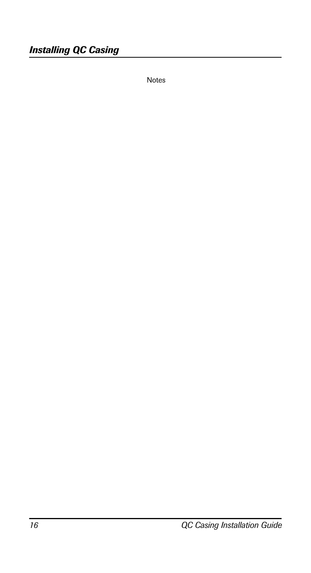Notes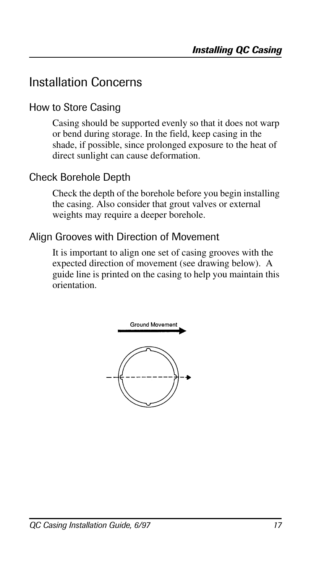## Installation Concerns

## How to Store Casing

Casing should be supported evenly so that it does not warp or bend during storage. In the field, keep casing in the shade, if possible, since prolonged exposure to the heat of direct sunlight can cause deformation.

### Check Borehole Depth

Check the depth of the borehole before you begin installing the casing. Also consider that grout valves or external weights may require a deeper borehole.

#### Align Grooves with Direction of Movement

It is important to align one set of casing grooves with the expected direction of movement (see drawing below). A guide line is printed on the casing to help you maintain this orientation.

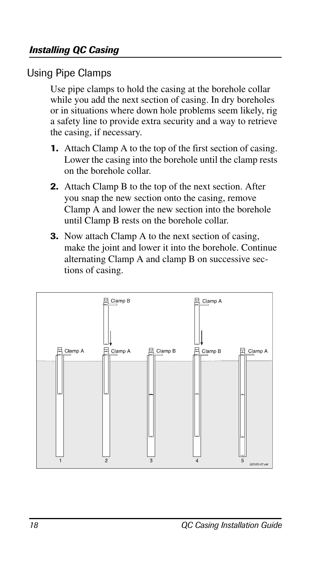## Using Pipe Clamps

Use pipe clamps to hold the casing at the borehole collar while you add the next section of casing. In dry boreholes or in situations where down hole problems seem likely, rig a safety line to provide extra security and a way to retrieve the casing, if necessary.

- **1.** Attach Clamp A to the top of the first section of casing. Lower the casing into the borehole until the clamp rests on the borehole collar.
- **2.** Attach Clamp B to the top of the next section. After you snap the new section onto the casing, remove Clamp A and lower the new section into the borehole until Clamp B rests on the borehole collar.
- **3.** Now attach Clamp A to the next section of casing, make the joint and lower it into the borehole. Continue alternating Clamp A and clamp B on successive sections of casing.

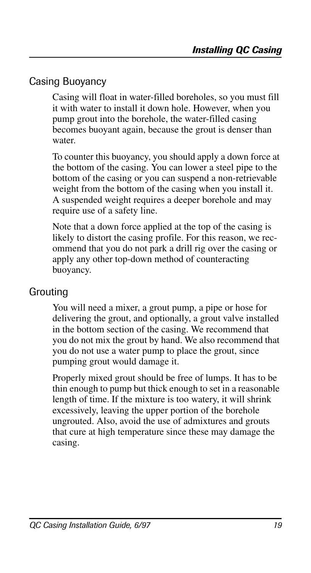## Casing Buoyancy

Casing will float in water-filled boreholes, so you must fill it with water to install it down hole. However, when you pump grout into the borehole, the water-filled casing becomes buoyant again, because the grout is denser than water.

To counter this buoyancy, you should apply a down force at the bottom of the casing. You can lower a steel pipe to the bottom of the casing or you can suspend a non-retrievable weight from the bottom of the casing when you install it. A suspended weight requires a deeper borehole and may require use of a safety line.

Note that a down force applied at the top of the casing is likely to distort the casing profile. For this reason, we recommend that you do not park a drill rig over the casing or apply any other top-down method of counteracting buoyancy.

### Grouting

You will need a mixer, a grout pump, a pipe or hose for delivering the grout, and optionally, a grout valve installed in the bottom section of the casing. We recommend that you do not mix the grout by hand. We also recommend that you do not use a water pump to place the grout, since pumping grout would damage it.

Properly mixed grout should be free of lumps. It has to be thin enough to pump but thick enough to set in a reasonable length of time. If the mixture is too watery, it will shrink excessively, leaving the upper portion of the borehole ungrouted. Also, avoid the use of admixtures and grouts that cure at high temperature since these may damage the casing.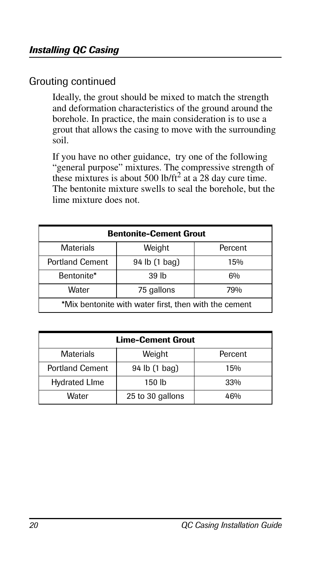## Grouting continued

Ideally, the grout should be mixed to match the strength and deformation characteristics of the ground around the borehole. In practice, the main consideration is to use a grout that allows the casing to move with the surrounding soil.

If you have no other guidance, try one of the following "general purpose" mixtures. The compressive strength of these mixtures is about 500 lb/ft<sup>2</sup> at a 28 day cure time. The bentonite mixture swells to seal the borehole, but the lime mixture does not.

| <b>Bentonite-Cement Grout</b>                         |               |         |  |
|-------------------------------------------------------|---------------|---------|--|
| Materials                                             | Weight        | Percent |  |
| <b>Portland Cement</b>                                | 94 lb (1 bag) | 15%     |  |
| Bentonite*                                            | 39 lb         | 6%      |  |
| Water                                                 | 75 gallons    | 79%     |  |
| *Mix bentonite with water first, then with the cement |               |         |  |

| <b>Lime-Cement Grout</b> |                  |                 |  |
|--------------------------|------------------|-----------------|--|
| <b>Materials</b>         | Weight           | Percent         |  |
| <b>Portland Cement</b>   | 94 lb (1 bag)    | 15%             |  |
| <b>Hydrated LIme</b>     | 150 lb           | 33%             |  |
| Water                    | 25 to 30 gallons | 46 <sub>%</sub> |  |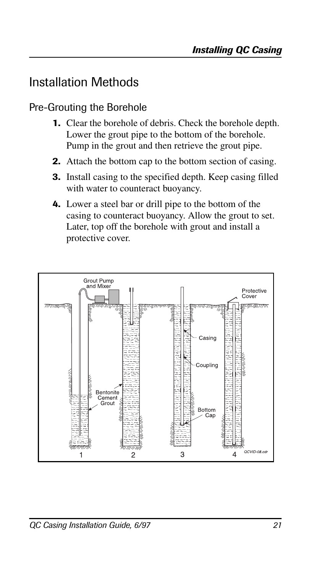## Installation Methods

## Pre-Grouting the Borehole

- **1.** Clear the borehole of debris. Check the borehole depth. Lower the grout pipe to the bottom of the borehole. Pump in the grout and then retrieve the grout pipe.
- **2.** Attach the bottom cap to the bottom section of casing.
- **3.** Install casing to the specified depth. Keep casing filled with water to counteract buoyancy.
- **4.** Lower a steel bar or drill pipe to the bottom of the casing to counteract buoyancy. Allow the grout to set. Later, top off the borehole with grout and install a protective cover.

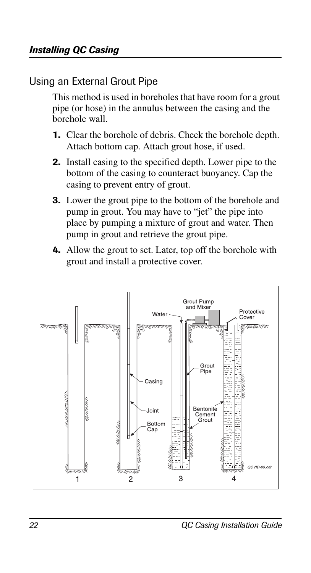## Using an External Grout Pipe

This method is used in boreholes that have room for a grout pipe (or hose) in the annulus between the casing and the borehole wall.

- **1.** Clear the borehole of debris. Check the borehole depth. Attach bottom cap. Attach grout hose, if used.
- **2.** Install casing to the specified depth. Lower pipe to the bottom of the casing to counteract buoyancy. Cap the casing to prevent entry of grout.
- **3.** Lower the grout pipe to the bottom of the borehole and pump in grout. You may have to "jet" the pipe into place by pumping a mixture of grout and water. Then pump in grout and retrieve the grout pipe.
- **4.** Allow the grout to set. Later, top off the borehole with grout and install a protective cover.

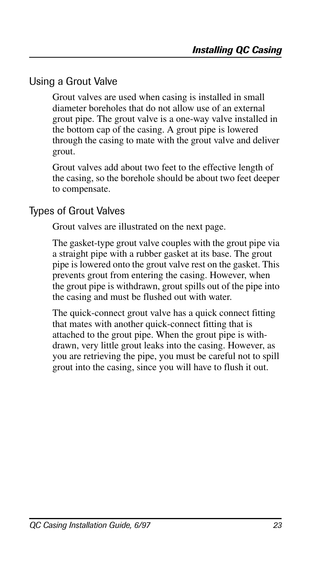## Using a Grout Valve

Grout valves are used when casing is installed in small diameter boreholes that do not allow use of an external grout pipe. The grout valve is a one-way valve installed in the bottom cap of the casing. A grout pipe is lowered through the casing to mate with the grout valve and deliver grout.

Grout valves add about two feet to the effective length of the casing, so the borehole should be about two feet deeper to compensate.

#### Types of Grout Valves

Grout valves are illustrated on the next page.

The gasket-type grout valve couples with the grout pipe via a straight pipe with a rubber gasket at its base. The grout pipe is lowered onto the grout valve rest on the gasket. This prevents grout from entering the casing. However, when the grout pipe is withdrawn, grout spills out of the pipe into the casing and must be flushed out with water.

The quick-connect grout valve has a quick connect fitting that mates with another quick-connect fitting that is attached to the grout pipe. When the grout pipe is withdrawn, very little grout leaks into the casing. However, as you are retrieving the pipe, you must be careful not to spill grout into the casing, since you will have to flush it out.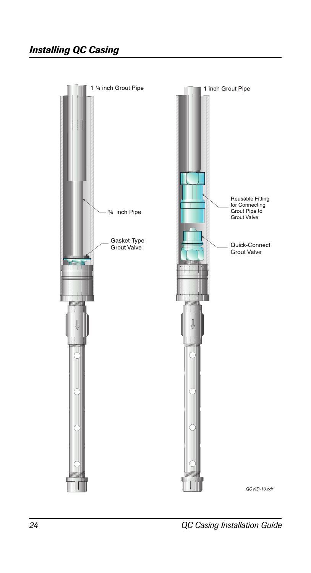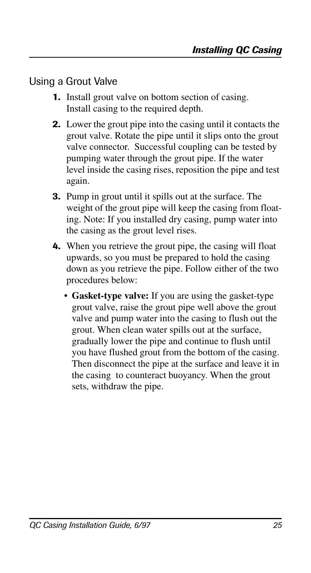### Using a Grout Valve

- **1.** Install grout valve on bottom section of casing. Install casing to the required depth.
- **2.** Lower the grout pipe into the casing until it contacts the grout valve. Rotate the pipe until it slips onto the grout valve connector. Successful coupling can be tested by pumping water through the grout pipe. If the water level inside the casing rises, reposition the pipe and test again.
- **3.** Pump in grout until it spills out at the surface. The weight of the grout pipe will keep the casing from floating. Note: If you installed dry casing, pump water into the casing as the grout level rises.
- **4.** When you retrieve the grout pipe, the casing will float upwards, so you must be prepared to hold the casing down as you retrieve the pipe. Follow either of the two procedures below:
	- **Gasket-type valve:** If you are using the gasket-type grout valve, raise the grout pipe well above the grout valve and pump water into the casing to flush out the grout. When clean water spills out at the surface, gradually lower the pipe and continue to flush until you have flushed grout from the bottom of the casing. Then disconnect the pipe at the surface and leave it in the casing to counteract buoyancy. When the grout sets, withdraw the pipe.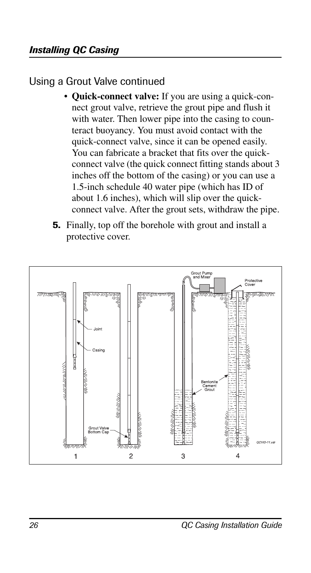## Using a Grout Valve continued

- **Quick-connect valve:** If you are using a quick-connect grout valve, retrieve the grout pipe and flush it with water. Then lower pipe into the casing to counteract buoyancy. You must avoid contact with the quick-connect valve, since it can be opened easily. You can fabricate a bracket that fits over the quickconnect valve (the quick connect fitting stands about 3 inches off the bottom of the casing) or you can use a 1.5-inch schedule 40 water pipe (which has ID of about 1.6 inches), which will slip over the quickconnect valve. After the grout sets, withdraw the pipe.
- **5.** Finally, top off the borehole with grout and install a protective cover.

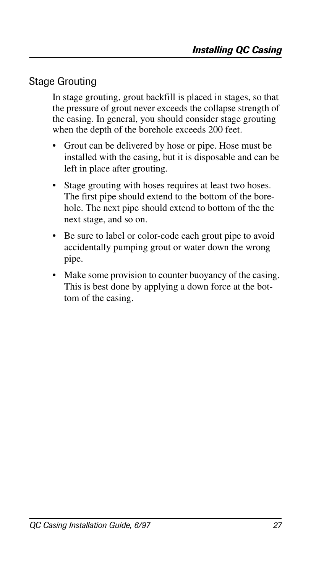## Stage Grouting

In stage grouting, grout backfill is placed in stages, so that the pressure of grout never exceeds the collapse strength of the casing. In general, you should consider stage grouting when the depth of the borehole exceeds 200 feet.

- Grout can be delivered by hose or pipe. Hose must be installed with the casing, but it is disposable and can be left in place after grouting.
- Stage grouting with hoses requires at least two hoses. The first pipe should extend to the bottom of the borehole. The next pipe should extend to bottom of the the next stage, and so on.
- Be sure to label or color-code each grout pipe to avoid accidentally pumping grout or water down the wrong pipe.
- Make some provision to counter buoyancy of the casing. This is best done by applying a down force at the bottom of the casing.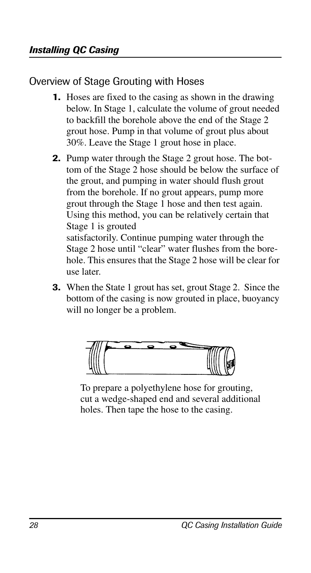Overview of Stage Grouting with Hoses

- **1.** Hoses are fixed to the casing as shown in the drawing below. In Stage 1, calculate the volume of grout needed to backfill the borehole above the end of the Stage 2 grout hose. Pump in that volume of grout plus about 30%. Leave the Stage 1 grout hose in place.
- **2.** Pump water through the Stage 2 grout hose. The bottom of the Stage 2 hose should be below the surface of the grout, and pumping in water should flush grout from the borehole. If no grout appears, pump more grout through the Stage 1 hose and then test again. Using this method, you can be relatively certain that Stage 1 is grouted satisfactorily. Continue pumping water through the Stage 2 hose until "clear" water flushes from the borehole. This ensures that the Stage 2 hose will be clear for

use later.

**3.** When the State 1 grout has set, grout Stage 2. Since the bottom of the casing is now grouted in place, buoyancy will no longer be a problem.



To prepare a polyethylene hose for grouting, cut a wedge-shaped end and several additional holes. Then tape the hose to the casing.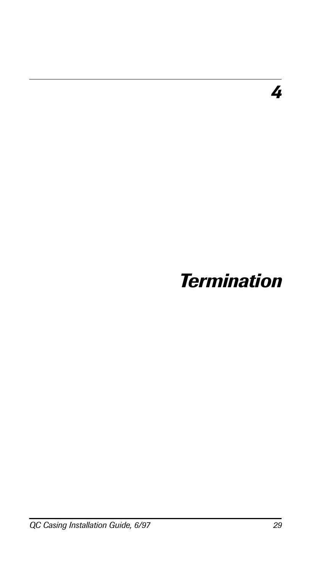*4*

# *Termination*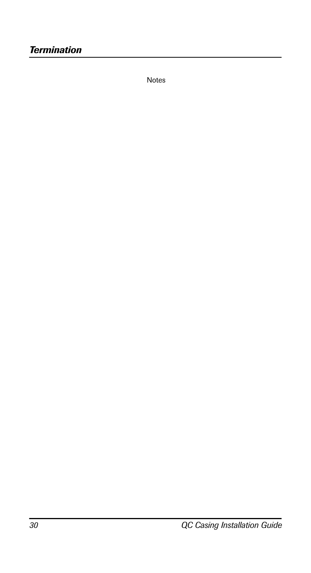Notes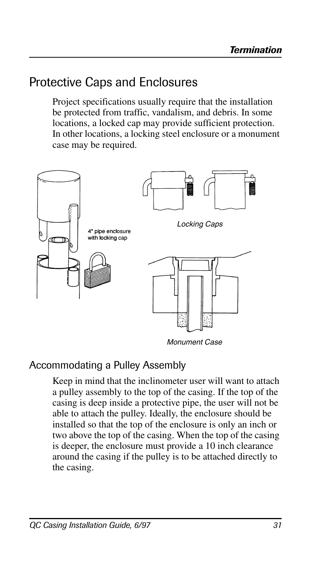## Protective Caps and Enclosures

Project specifications usually require that the installation be protected from traffic, vandalism, and debris. In some locations, a locked cap may provide sufficient protection. In other locations, a locking steel enclosure or a monument case may be required.



## Accommodating a Pulley Assembly

Keep in mind that the inclinometer user will want to attach a pulley assembly to the top of the casing. If the top of the casing is deep inside a protective pipe, the user will not be able to attach the pulley. Ideally, the enclosure should be installed so that the top of the enclosure is only an inch or two above the top of the casing. When the top of the casing is deeper, the enclosure must provide a 10 inch clearance around the casing if the pulley is to be attached directly to the casing.